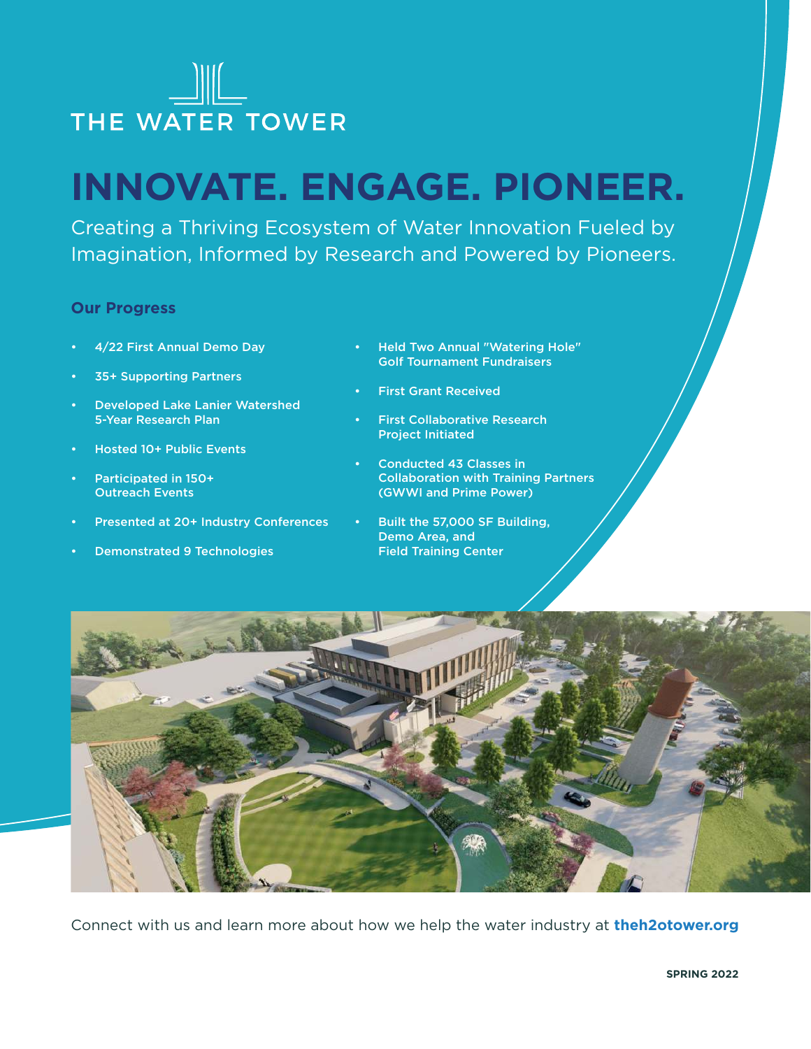

# **INNOVATE. ENGAGE. PIONEER.**

Creating a Thriving Ecosystem of Water Innovation Fueled by Imagination, Informed by Research and Powered by Pioneers.

#### **Our Progress**

- 4/22 First Annual Demo Day
- 35+ Supporting Partners
- Developed Lake Lanier Watershed 5-Year Research Plan
- Hosted 10+ Public Events
- Participated in 150+ Outreach Events
- Presented at 20+ Industry Conferences
- Demonstrated 9 Technologies
- Held Two Annual "Watering Hole" Golf Tournament Fundraisers
- First Grant Received
- **First Collaborative Research** Project Initiated
- Conducted 43 Classes in Collaboration with Training Partners (GWWI and Prime Power)
- Built the 57,000 SF Building, Demo Area, and Field Training Center



Connect with us and learn more about how we help the water industry at **theh2otower.org**